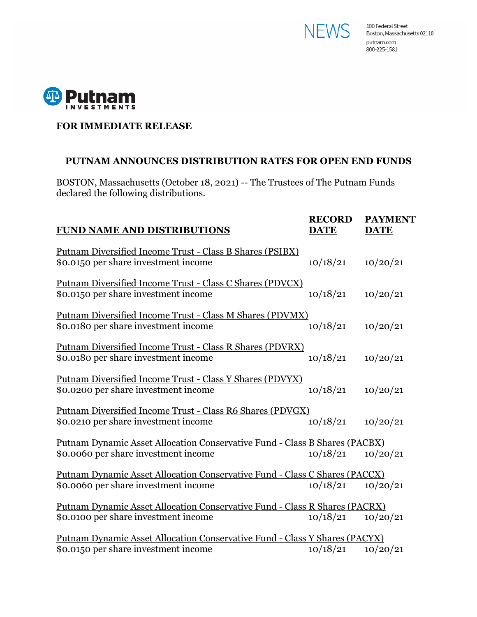



## **FOR IMMEDIATE RELEASE**

## **PUTNAM ANNOUNCES DISTRIBUTION RATES FOR OPEN END FUNDS**

BOSTON, Massachusetts (October 18, 2021) -- The Trustees of The Putnam Funds declared the following distributions.

| <b>FUND NAME AND DISTRIBUTIONS</b>                                                                                 | <b>RECORD</b><br><b>DATE</b> | <b>PAYMENT</b><br><b>DATE</b> |
|--------------------------------------------------------------------------------------------------------------------|------------------------------|-------------------------------|
| <u> Putnam Diversified Income Trust - Class B Shares (PSIBX)</u><br>\$0.0150 per share investment income           | 10/18/21                     | 10/20/21                      |
| <u> Putnam Diversified Income Trust - Class C Shares (PDVCX)</u><br>\$0.0150 per share investment income           | 10/18/21                     | 10/20/21                      |
| Putnam Diversified Income Trust - Class M Shares (PDVMX)<br>\$0.0180 per share investment income                   | 10/18/21                     | 10/20/21                      |
| Putnam Diversified Income Trust - Class R Shares (PDVRX)<br>\$0.0180 per share investment income                   | 10/18/21                     | 10/20/21                      |
| Putnam Diversified Income Trust - Class Y Shares (PDVYX)<br>\$0.0200 per share investment income                   | 10/18/21                     | 10/20/21                      |
| Putnam Diversified Income Trust - Class R6 Shares (PDVGX)<br>\$0.0210 per share investment income                  | 10/18/21                     | 10/20/21                      |
| Putnam Dynamic Asset Allocation Conservative Fund - Class B Shares (PACBX)<br>\$0.0060 per share investment income | 10/18/21                     | 10/20/21                      |
| Putnam Dynamic Asset Allocation Conservative Fund - Class C Shares (PACCX)<br>\$0.0060 per share investment income | 10/18/21                     | 10/20/21                      |
| Putnam Dynamic Asset Allocation Conservative Fund - Class R Shares (PACRX)<br>\$0.0100 per share investment income | 10/18/21                     | 10/20/21                      |
| Putnam Dynamic Asset Allocation Conservative Fund - Class Y Shares (PACYX)<br>\$0.0150 per share investment income | 10/18/21                     | 10/20/21                      |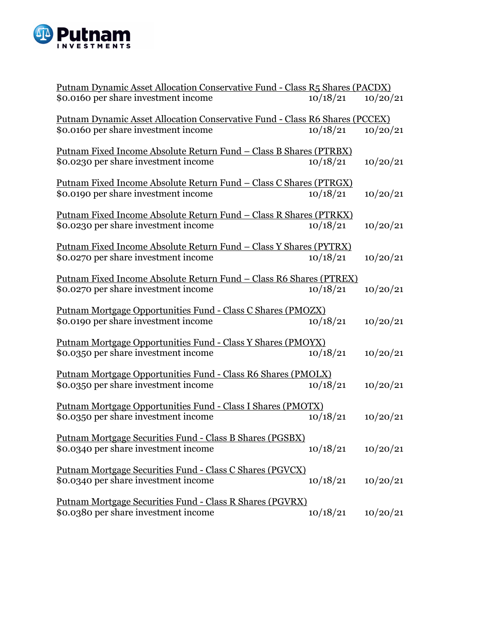

| Putnam Dynamic Asset Allocation Conservative Fund - Class R5 Shares (PACDX) |          |          |  |  |
|-----------------------------------------------------------------------------|----------|----------|--|--|
| \$0.0160 per share investment income                                        | 10/18/21 | 10/20/21 |  |  |
| Putnam Dynamic Asset Allocation Conservative Fund - Class R6 Shares (PCCEX) |          |          |  |  |
| \$0.0160 per share investment income                                        | 10/18/21 | 10/20/21 |  |  |
| <u> Putnam Fixed Income Absolute Return Fund – Class B Shares (PTRBX)</u>   |          |          |  |  |
| \$0.0230 per share investment income                                        | 10/18/21 | 10/20/21 |  |  |
| <u> Putnam Fixed Income Absolute Return Fund – Class C Shares (PTRGX)</u>   |          |          |  |  |
| \$0.0190 per share investment income                                        | 10/18/21 | 10/20/21 |  |  |
| <u> Putnam Fixed Income Absolute Return Fund – Class R Shares (PTRKX)</u>   |          |          |  |  |
| \$0.0230 per share investment income                                        | 10/18/21 | 10/20/21 |  |  |
| <u> Putnam Fixed Income Absolute Return Fund – Class Y Shares (PYTRX)</u>   |          |          |  |  |
| \$0.0270 per share investment income                                        | 10/18/21 | 10/20/21 |  |  |
| <u> Putnam Fixed Income Absolute Return Fund - Class R6 Shares (PTREX)</u>  |          |          |  |  |
| \$0.0270 per share investment income                                        | 10/18/21 | 10/20/21 |  |  |
| <u> Putnam Mortgage Opportunities Fund - Class C Shares (PMOZX)</u>         |          |          |  |  |
| \$0.0190 per share investment income                                        | 10/18/21 | 10/20/21 |  |  |
| Putnam Mortgage Opportunities Fund - Class Y Shares (PMOYX)                 |          |          |  |  |
| \$0.0350 per share investment income                                        | 10/18/21 | 10/20/21 |  |  |
| <u> Putnam Mortgage Opportunities Fund - Class R6 Shares (PMOLX)</u>        |          |          |  |  |
| \$0.0350 per share investment income                                        | 10/18/21 | 10/20/21 |  |  |
| Putnam Mortgage Opportunities Fund - Class I Shares (PMOTX)                 |          |          |  |  |
| \$0.0350 per share investment income                                        | 10/18/21 | 10/20/21 |  |  |
| <u> Putnam Mortgage Securities Fund - Class B Shares (PGSBX)</u>            |          |          |  |  |
| \$0.0340 per share investment income                                        | 10/18/21 | 10/20/21 |  |  |
| <u> Putnam Mortgage Securities Fund - Class C Shares (PGVCX)</u>            |          |          |  |  |
| \$0.0340 per share investment income                                        | 10/18/21 | 10/20/21 |  |  |
| <u> Putnam Mortgage Securities Fund - Class R Shares (PGVRX)</u>            |          |          |  |  |
| \$0.0380 per share investment income                                        | 10/18/21 | 10/20/21 |  |  |